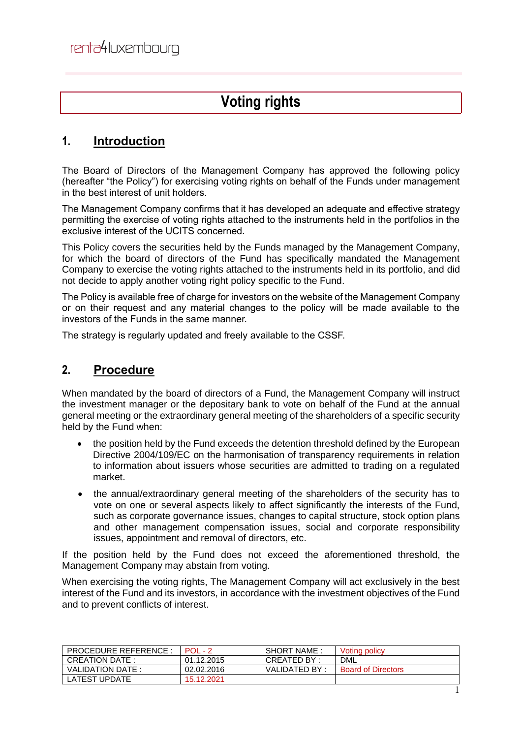# **Voting rights**

### **1. Introduction**

The Board of Directors of the Management Company has approved the following policy (hereafter "the Policy") for exercising voting rights on behalf of the Funds under management in the best interest of unit holders.

The Management Company confirms that it has developed an adequate and effective strategy permitting the exercise of voting rights attached to the instruments held in the portfolios in the exclusive interest of the UCITS concerned.

This Policy covers the securities held by the Funds managed by the Management Company, for which the board of directors of the Fund has specifically mandated the Management Company to exercise the voting rights attached to the instruments held in its portfolio, and did not decide to apply another voting right policy specific to the Fund.

The Policy is available free of charge for investors on the website of the Management Company or on their request and any material changes to the policy will be made available to the investors of the Funds in the same manner.

The strategy is regularly updated and freely available to the CSSF.

#### **2. Procedure**

When mandated by the board of directors of a Fund, the Management Company will instruct the investment manager or the depositary bank to vote on behalf of the Fund at the annual general meeting or the extraordinary general meeting of the shareholders of a specific security held by the Fund when:

- the position held by the Fund exceeds the detention threshold defined by the European Directive 2004/109/EC on the harmonisation of transparency requirements in relation to information about issuers whose securities are admitted to trading on a regulated market.
- the annual/extraordinary general meeting of the shareholders of the security has to vote on one or several aspects likely to affect significantly the interests of the Fund, such as corporate governance issues, changes to capital structure, stock option plans and other management compensation issues, social and corporate responsibility issues, appointment and removal of directors, etc.

If the position held by the Fund does not exceed the aforementioned threshold, the Management Company may abstain from voting.

When exercising the voting rights, The Management Company will act exclusively in the best interest of the Fund and its investors, in accordance with the investment objectives of the Fund and to prevent conflicts of interest.

| <b>PROCEDURE REFERENCE</b> | $POL - 2$  | SHORT NAME    | Voting policy             |
|----------------------------|------------|---------------|---------------------------|
| CREATION DATE :            | 01.12.2015 | CREATED BY :  | <b>DML</b>                |
| VALIDATION DATE:           | 02.02.2016 | VALIDATED BY: | <b>Board of Directors</b> |
| LATEST UPDATE              | 15.12.2021 |               |                           |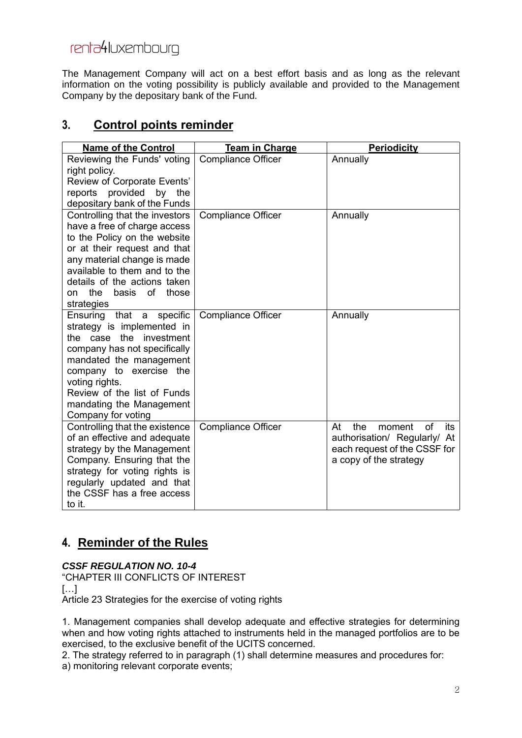# renta4luxembourg

The Management Company will act on a best effort basis and as long as the relevant information on the voting possibility is publicly available and provided to the Management Company by the depositary bank of the Fund.

### **3. Control points reminder**

| <b>Name of the Control</b>                              | <b>Team in Charge</b>     | <b>Periodicity</b>               |
|---------------------------------------------------------|---------------------------|----------------------------------|
| Reviewing the Funds' voting                             | <b>Compliance Officer</b> | Annually                         |
| right policy.                                           |                           |                                  |
| Review of Corporate Events'                             |                           |                                  |
| provided<br>by the<br>reports                           |                           |                                  |
| depositary bank of the Funds                            |                           |                                  |
| Controlling that the investors                          | <b>Compliance Officer</b> | Annually                         |
| have a free of charge access                            |                           |                                  |
| to the Policy on the website                            |                           |                                  |
| or at their request and that                            |                           |                                  |
| any material change is made                             |                           |                                  |
| available to them and to the                            |                           |                                  |
| details of the actions taken                            |                           |                                  |
| the<br>basis of<br>those<br>on                          |                           |                                  |
| strategies                                              |                           |                                  |
| that a<br>specific<br>Ensuring                          | <b>Compliance Officer</b> | Annually                         |
| strategy is implemented in<br>the<br>investment         |                           |                                  |
| the case                                                |                           |                                  |
| company has not specifically<br>mandated the management |                           |                                  |
| company to exercise the                                 |                           |                                  |
| voting rights.                                          |                           |                                  |
| Review of the list of Funds                             |                           |                                  |
| mandating the Management                                |                           |                                  |
| Company for voting                                      |                           |                                  |
| Controlling that the existence                          | <b>Compliance Officer</b> | the<br>of<br>At<br>moment<br>its |
| of an effective and adequate                            |                           | authorisation/ Regularly/ At     |
| strategy by the Management                              |                           | each request of the CSSF for     |
| Company. Ensuring that the                              |                           | a copy of the strategy           |
| strategy for voting rights is                           |                           |                                  |
| regularly updated and that                              |                           |                                  |
| the CSSF has a free access                              |                           |                                  |
| to it.                                                  |                           |                                  |

### **4. Reminder of the Rules**

*CSSF REGULATION NO. 10-4* 

"CHAPTER III CONFLICTS OF INTEREST […] Article 23 Strategies for the exercise of voting rights

1. Management companies shall develop adequate and effective strategies for determining when and how voting rights attached to instruments held in the managed portfolios are to be exercised, to the exclusive benefit of the UCITS concerned.

2. The strategy referred to in paragraph (1) shall determine measures and procedures for: a) monitoring relevant corporate events;

2